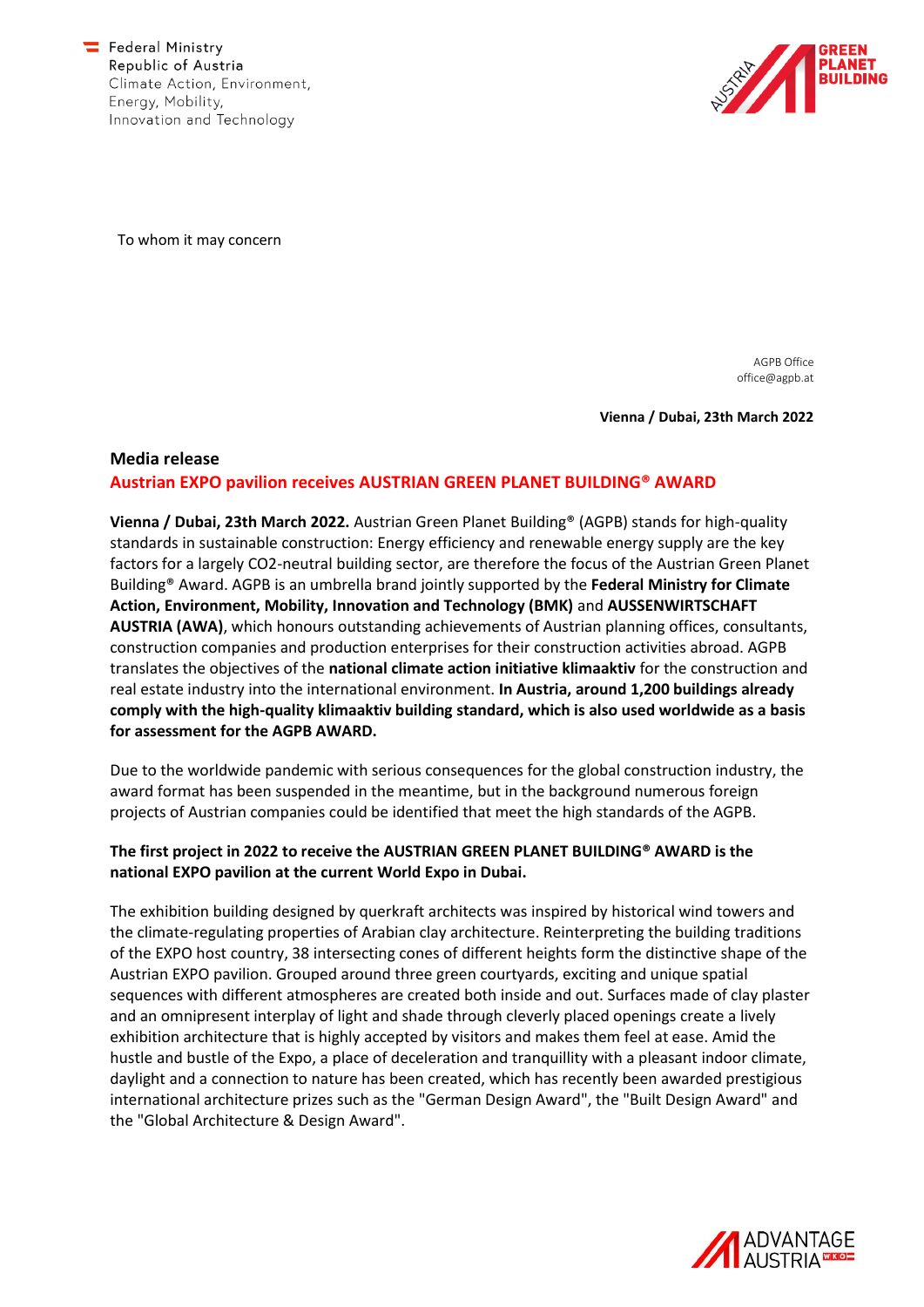

To whom it may concern

AGPB Office office@agpb.at

**Vienna / Dubai, 23th March 2022**

# **Media release Austrian EXPO pavilion receives AUSTRIAN GREEN PLANET BUILDING® AWARD**

**Vienna / Dubai, 23th March 2022.** Austrian Green Planet Building® (AGPB) stands for high-quality standards in sustainable construction: Energy efficiency and renewable energy supply are the key factors for a largely CO2-neutral building sector, are therefore the focus of the Austrian Green Planet Building® Award. AGPB is an umbrella brand jointly supported by the **Federal Ministry for Climate Action, Environment, Mobility, Innovation and Technology (BMK)** and **AUSSENWIRTSCHAFT AUSTRIA (AWA)**, which honours outstanding achievements of Austrian planning offices, consultants, construction companies and production enterprises for their construction activities abroad. AGPB translates the objectives of the **national climate action initiative klimaaktiv** for the construction and real estate industry into the international environment. **In Austria, around 1,200 buildings already comply with the high-quality klimaaktiv building standard, which is also used worldwide as a basis for assessment for the AGPB AWARD.**

Due to the worldwide pandemic with serious consequences for the global construction industry, the award format has been suspended in the meantime, but in the background numerous foreign projects of Austrian companies could be identified that meet the high standards of the AGPB.

### **The first project in 2022 to receive the AUSTRIAN GREEN PLANET BUILDING® AWARD is the national EXPO pavilion at the current World Expo in Dubai.**

The exhibition building designed by querkraft architects was inspired by historical wind towers and the climate-regulating properties of Arabian clay architecture. Reinterpreting the building traditions of the EXPO host country, 38 intersecting cones of different heights form the distinctive shape of the Austrian EXPO pavilion. Grouped around three green courtyards, exciting and unique spatial sequences with different atmospheres are created both inside and out. Surfaces made of clay plaster and an omnipresent interplay of light and shade through cleverly placed openings create a lively exhibition architecture that is highly accepted by visitors and makes them feel at ease. Amid the hustle and bustle of the Expo, a place of deceleration and tranquillity with a pleasant indoor climate, daylight and a connection to nature has been created, which has recently been awarded prestigious international architecture prizes such as the "German Design Award", the "Built Design Award" and the "Global Architecture & Design Award".

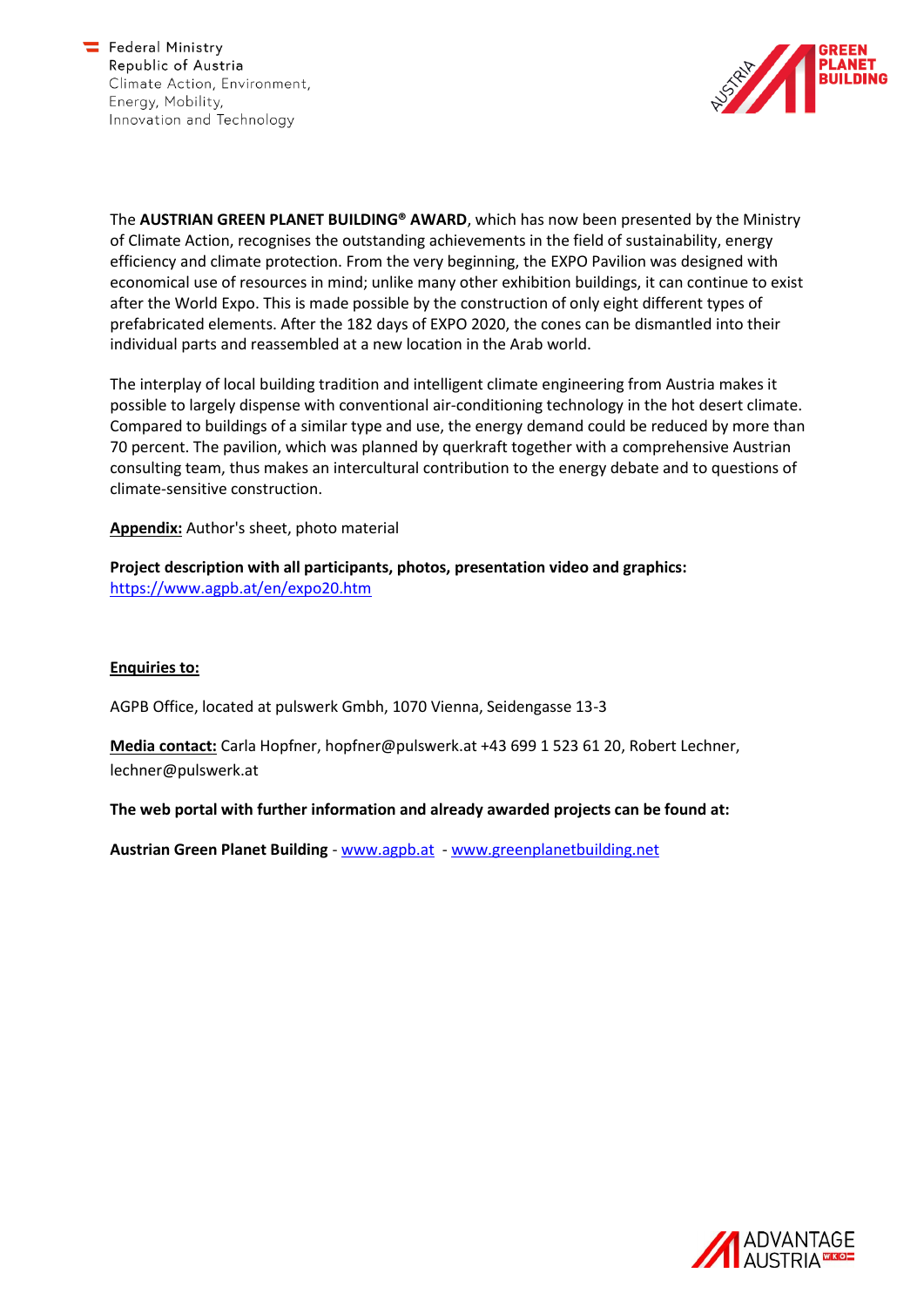

The **AUSTRIAN GREEN PLANET BUILDING® AWARD**, which has now been presented by the Ministry of Climate Action, recognises the outstanding achievements in the field of sustainability, energy efficiency and climate protection. From the very beginning, the EXPO Pavilion was designed with economical use of resources in mind; unlike many other exhibition buildings, it can continue to exist after the World Expo. This is made possible by the construction of only eight different types of prefabricated elements. After the 182 days of EXPO 2020, the cones can be dismantled into their individual parts and reassembled at a new location in the Arab world.

The interplay of local building tradition and intelligent climate engineering from Austria makes it possible to largely dispense with conventional air-conditioning technology in the hot desert climate. Compared to buildings of a similar type and use, the energy demand could be reduced by more than 70 percent. The pavilion, which was planned by querkraft together with a comprehensive Austrian consulting team, thus makes an intercultural contribution to the energy debate and to questions of climate-sensitive construction.

**Appendix:** Author's sheet, photo material

**Project description with all participants, photos, presentation video and graphics:**  <https://www.agpb.at/en/expo20.htm>

#### **Enquiries to:**

AGPB Office, located at pulswerk Gmbh, 1070 Vienna, Seidengasse 13-3

**Media contact:** Carla Hopfner, hopfner@pulswerk.at +43 699 1 523 61 20, Robert Lechner, lechner@pulswerk.at

**The web portal with further information and already awarded projects can be found at:** 

**Austrian Green Planet Building** - [www.agpb.at](http://www.agpb.at/) - [www.greenplanetbuilding.net](http://www.greenplanetbuilding.net/)

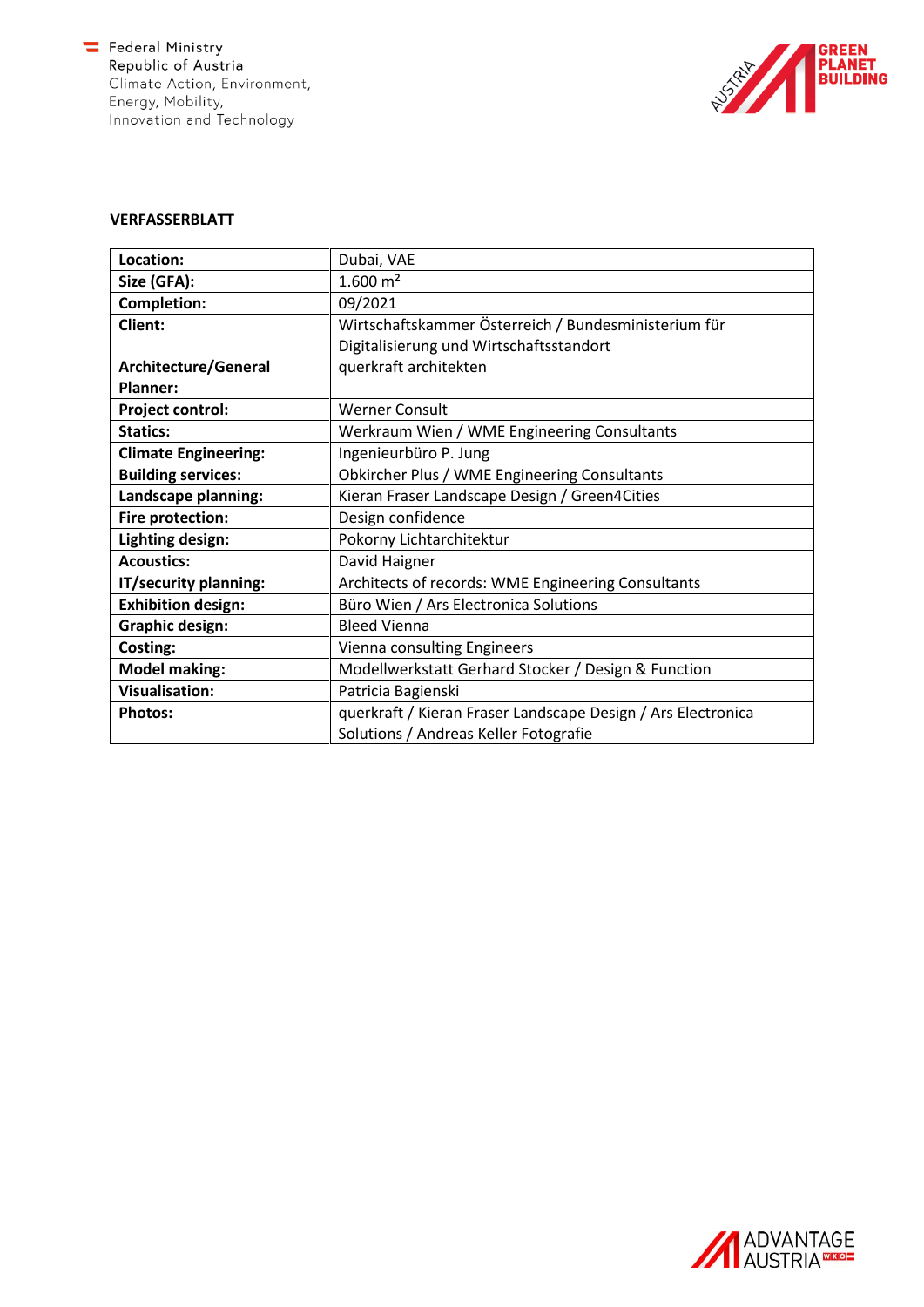$\equiv$  Federal Ministry Republic of Austria Climate Action, Environment, Energy, Mobility, Innovation and Technology



### **VERFASSERBLATT**

| Location:                   | Dubai, VAE                                                   |
|-----------------------------|--------------------------------------------------------------|
| Size (GFA):                 | $1.600 \; \mathrm{m}^2$                                      |
| <b>Completion:</b>          | 09/2021                                                      |
| Client:                     | Wirtschaftskammer Österreich / Bundesministerium für         |
|                             | Digitalisierung und Wirtschaftsstandort                      |
| Architecture/General        | querkraft architekten                                        |
| Planner:                    |                                                              |
| <b>Project control:</b>     | Werner Consult                                               |
| <b>Statics:</b>             | Werkraum Wien / WME Engineering Consultants                  |
| <b>Climate Engineering:</b> | Ingenieurbüro P. Jung                                        |
| <b>Building services:</b>   | Obkircher Plus / WME Engineering Consultants                 |
| Landscape planning:         | Kieran Fraser Landscape Design / Green4Cities                |
| Fire protection:            | Design confidence                                            |
| Lighting design:            | Pokorny Lichtarchitektur                                     |
| <b>Acoustics:</b>           | David Haigner                                                |
| IT/security planning:       | Architects of records: WME Engineering Consultants           |
| <b>Exhibition design:</b>   | Büro Wien / Ars Electronica Solutions                        |
| <b>Graphic design:</b>      | <b>Bleed Vienna</b>                                          |
| Costing:                    | Vienna consulting Engineers                                  |
| <b>Model making:</b>        | Modellwerkstatt Gerhard Stocker / Design & Function          |
| <b>Visualisation:</b>       | Patricia Bagienski                                           |
| <b>Photos:</b>              | querkraft / Kieran Fraser Landscape Design / Ars Electronica |
|                             | Solutions / Andreas Keller Fotografie                        |

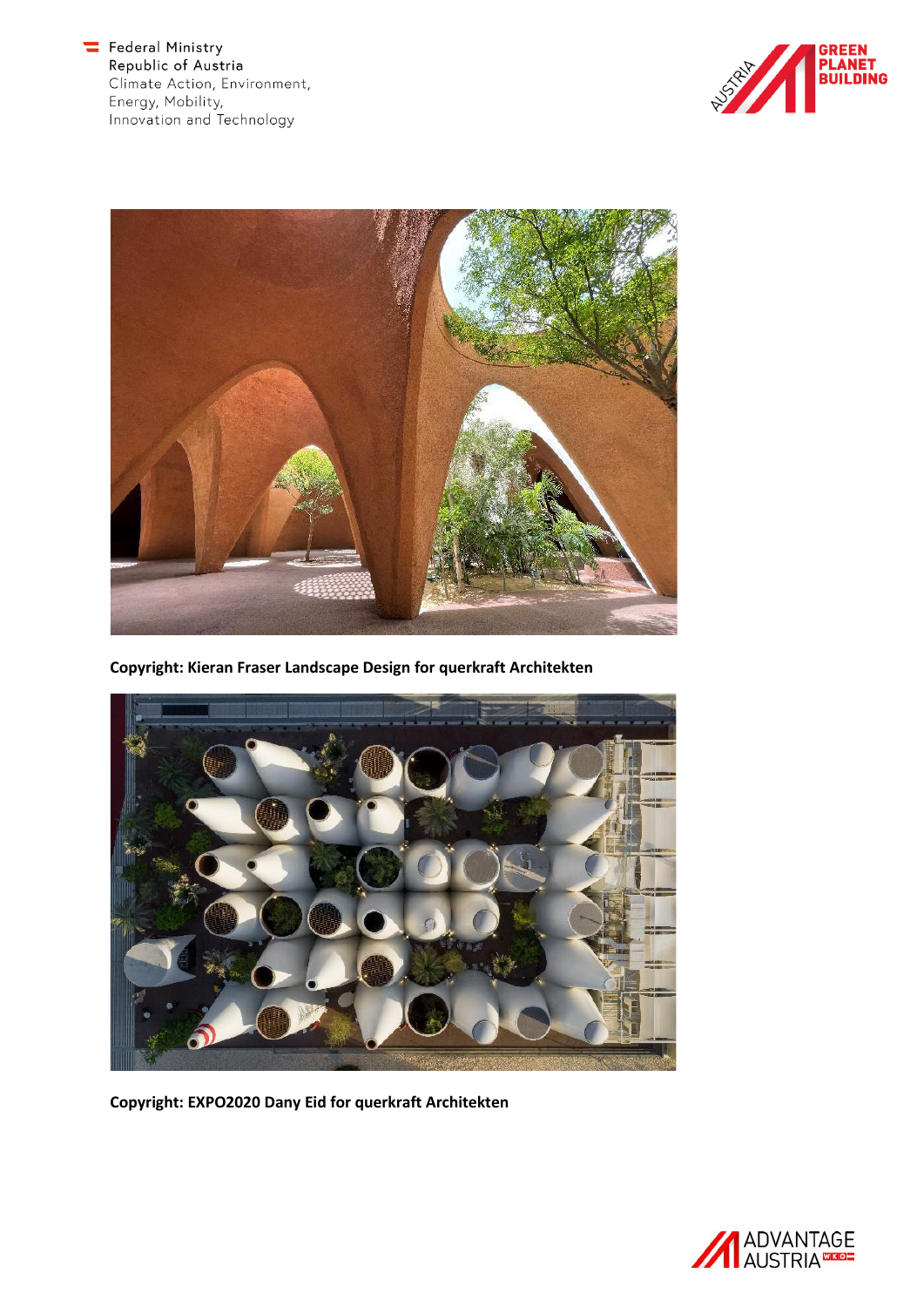Federal Ministry<br>Republic of Austria Climate Action, Environment, Energy, Mobility,<br>Innovation and Technology





**Copyright: Kieran Fraser Landscape Design for querkraft Architekten**



**Copyright: EXPO2020 Dany Eid for querkraft Architekten**